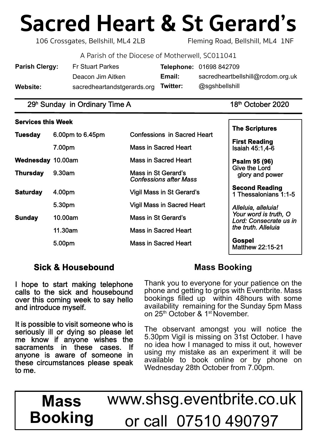# **Sacred Heart & St Gerard's**

106 Crossgates, Bellshill, ML4 2LB Fleming Road, Bellshill, ML4 1NF

A Parish of the Diocese of Motherwell, SC011041

| <b>Parish Clergy:</b> | <b>Fr Stuart Parkes</b>     |          | Telephone: 01698 842709           |
|-----------------------|-----------------------------|----------|-----------------------------------|
|                       | Deacon Jim Aitken           | Email:   | sacredheartbellshill@rcdom.org.uk |
| Website:              | sacredheartandstgerards.org | Twitter: | @sgshbellshill                    |

## $29<sup>h</sup>$  Sunday in Ordinary Time A 18<sup>th</sup> October 2020

#### **Services this Week**

| <b>Tuesday</b>           | 6.00pm to 6.45pm | <b>Confessions in Sacred Heart</b>                   | <b>The Scriptures</b>                                    |  |
|--------------------------|------------------|------------------------------------------------------|----------------------------------------------------------|--|
|                          |                  |                                                      | <b>First Reading</b>                                     |  |
|                          | 7.00pm           | <b>Mass in Sacred Heart</b>                          | Isaiah 45:1,4-6                                          |  |
| <b>Wednesday 10.00am</b> |                  | <b>Mass in Sacred Heart</b>                          | <b>Psalm 95 (96)</b><br>Give the Lord<br>glory and power |  |
| <b>Thursday</b>          | 9.30am           | Mass in St Gerard's<br><b>Confessions after Mass</b> |                                                          |  |
| <b>Saturday</b>          | 4.00pm           | <b>Vigil Mass in St Gerard's</b>                     | <b>Second Reading</b><br>1 Thessalonians 1:1-5           |  |
|                          | 5.30pm           | <b>Vigil Mass in Sacred Heart</b>                    | Alleluia, alleluia!                                      |  |
| <b>Sunday</b>            | 10.00am          | Mass in St Gerard's                                  | Your word is truth, O<br>Lord: Consecrate us in          |  |
|                          | 11.30am          | <b>Mass in Sacred Heart</b>                          | the truth. Alleluia                                      |  |
|                          | 5.00pm           | <b>Mass in Sacred Heart</b>                          | <b>Gospel</b><br><b>Matthew 22:15-21</b>                 |  |

# **Sick & Housebound**

I hope to start making telephone calls to the sick and housebound over this coming week to say hello and introduce myself.

It is possible to visit someone who is seriously ill or dying so please let me know if anyone wishes the sacraments in these cases. If anyone is aware of someone in these circumstances please speak to me.

# **Mass Booking**

Thank you to everyone for your patience on the phone and getting to grips with Eventbrite. Mass bookings filled up within 48hours with some availability remaining for the Sunday 5pm Mass on 25th October & 1st November.

The observant amongst you will notice the 5.30pm Vigil is missing on 31st October. I have no idea how I managed to miss it out, however using my mistake as an experiment it will be available to book online or by phone on Wednesday 28th October from 7.00pm.

www.shsg.eventbrite.co.uk or call 07510 490797 **Mass Booking**